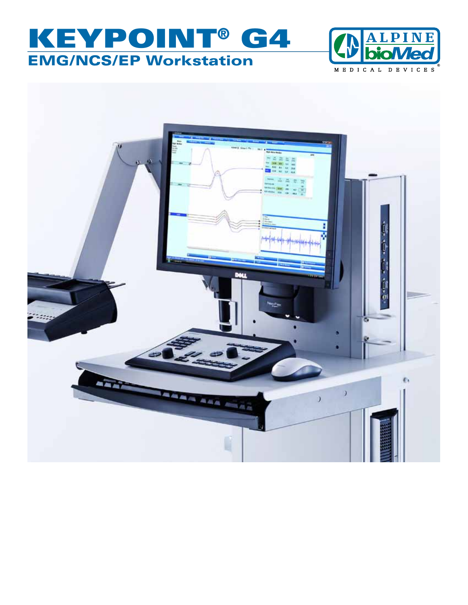# KEYPOINT® G4 EMG/NCS/EP Workstation



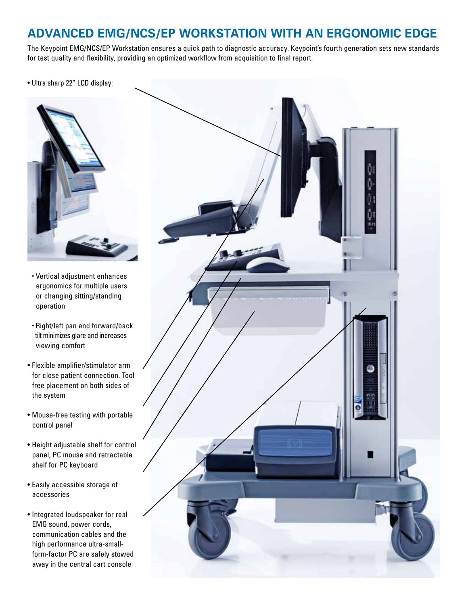### **Advanced EMG/NCS/EP Workstation with an Ergonomic Edge**

The Keypoint EMG/NCS/EP Workstation ensures a quick path to diagnostic accuracy. Keypoint's fourth generation sets new standards for test quality and flexibility, providing an optimized workflow from acquisition to final report.

• Ultra sharp 22" LCD display:



- Vertical adjustment enhances ergonomics for multiple users or changing sitting/standing operation
- Right/left pan and forward/back tilt minimizes glare and increases viewing comfort
- Flexible amplifier/stimulator arm for close patient connection. Tool free placement on both sides of the system
- Mouse-free testing with portable control panel
- Height adjustable shelf for control panel, PC mouse and retractable shelf for PC keyboard
- Easily accessible storage of accessories
- Integrated loudspeaker for real EMG sound, power cords, communication cables and the high performance ultra-smallform-factor PC are safely stowed away in the central cart console

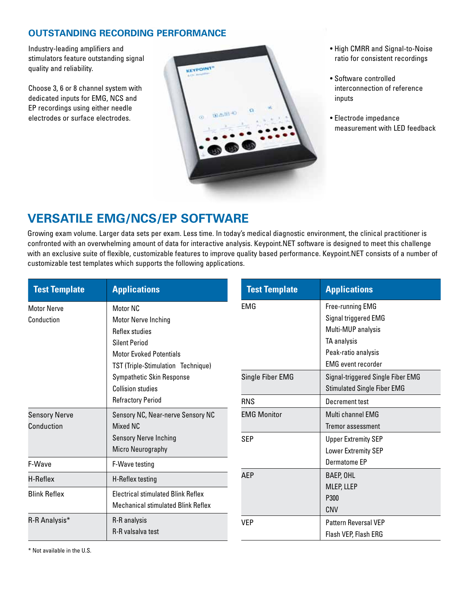### **Outstanding Recording Performance**

Industry-leading amplifiers and stimulators feature outstanding signal quality and reliability.

Choose 3, 6 or 8 channel system with dedicated inputs for EMG, NCS and EP recordings using either needle electrodes or surface electrodes.



- High CMRR and Signal-to-Noise ratio for consistent recordings
- Software controlled interconnection of reference inputs
- Electrode impedance measurement with LED feedback

## **Versatile EMG/NCS/EP Software**

Growing exam volume. Larger data sets per exam. Less time. In today's medical diagnostic environment, the clinical practitioner is confronted with an overwhelming amount of data for interactive analysis. Keypoint.NET software is designed to meet this challenge with an exclusive suite of flexible, customizable features to improve quality based performance. Keypoint.NET consists of a number of customizable test templates which supports the following applications.

| <b>Test Template</b>               | <b>Applications</b>                                                                                                                                                                   | <b>Test Template</b>             | <b>Applications</b>                                                                                                                                                    |
|------------------------------------|---------------------------------------------------------------------------------------------------------------------------------------------------------------------------------------|----------------------------------|------------------------------------------------------------------------------------------------------------------------------------------------------------------------|
| <b>Motor Nerve</b><br>Conduction   | Motor NC<br><b>Motor Nerve Inching</b><br>Reflex studies<br><b>Silent Period</b><br><b>Motor Evoked Potentials</b><br>TST (Triple-Stimulation Technique)<br>Sympathetic Skin Response | <b>EMG</b><br>Single Fiber EMG   | Free-running EMG<br>Signal triggered EMG<br>Multi-MUP analysis<br>TA analysis<br>Peak-ratio analysis<br><b>EMG</b> event recorder<br>Signal-triggered Single Fiber EMG |
| <b>Sensory Nerve</b><br>Conduction | <b>Collision studies</b><br><b>Refractory Period</b><br>Sensory NC, Near-nerve Sensory NC<br>Mixed NC                                                                                 | <b>RNS</b><br><b>EMG Monitor</b> | <b>Stimulated Single Fiber EMG</b><br>Decrement test<br>Multi channel EMG<br>Tremor assessment                                                                         |
| F-Wave                             | <b>Sensory Nerve Inching</b><br>Micro Neurography<br>F-Wave testing                                                                                                                   | <b>SEP</b>                       | <b>Upper Extremity SEP</b><br>Lower Extremity SEP<br>Dermatome EP                                                                                                      |
| H-Reflex<br><b>Blink Reflex</b>    | H-Reflex testing<br><b>Electrical stimulated Blink Reflex</b><br><b>Mechanical stimulated Blink Reflex</b>                                                                            | <b>AEP</b>                       | BAEP, OHL<br>MLEP, LLEP<br>P300<br><b>CNV</b>                                                                                                                          |
| R-R Analysis*                      | R-R analysis<br>R-R valsalva test                                                                                                                                                     | <b>VEP</b>                       | <b>Pattern Reversal VEP</b><br>Flash VEP, Flash ERG                                                                                                                    |

\* Not available in the U.S.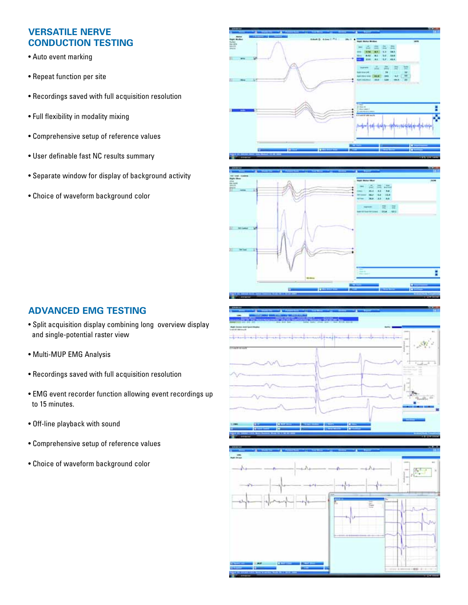### **Versatile nerve conduction testing**

- Auto event marking
- Repeat function per site
- Recordings saved with full acquisition resolution
- Full flexibility in modality mixing
- Comprehensive setup of reference values
- User definable fast NC results summary
- Separate window for display of background activity
- Choice of waveform background color





#### **Advanced EMG testing**

- Split acquisition display combining long overview display and single-potential raster view
- Multi-MUP EMG Analysis
- Recordings saved with full acquisition resolution
- EMG event recorder function allowing event recordings up to 15 minutes.
- Off-line playback with sound
- Comprehensive setup of reference values
- Choice of waveform background color



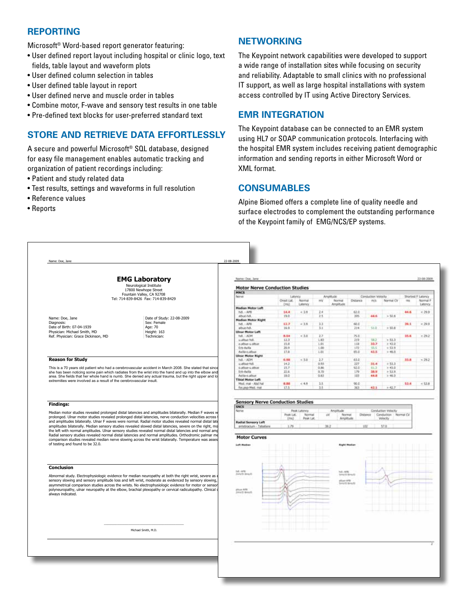#### **Reporting**

Microsoft® Word-based report generator featuring:

- User defined report layout including hospital or clinic logo, text fields, table layout and waveform plots
- User defined column selection in tables
- User defined table layout in report
- User defined nerve and muscle order in tables
- Combine motor, F-wave and sensory test results in one table
- Pre-defined text blocks for user-preferred standard text

#### **Store and Retrieve Data Effortlessly**

A secure and powerful Microsoft® SQL database, designed for easy file management enables automatic tracking and organization of patient recordings including:

- Patient and study related data
- Test results, settings and waveforms in full resolution
- Reference values
- Reports

#### **Networking**

The Keypoint network capabilities were developed to support a wide range of installation sites while focusing on security and reliability. Adaptable to small clinics with no professional IT support, as well as large hospital installations with system access controlled by IT using Active Directory Services.

#### **EMR Integration**

The Keypoint database can be connected to an EMR system using HL7 or SOAP communication protocols. Interfacing with the hospital EMR system includes receiving patient demographic information and sending reports in either Microsoft Word or XML format.

#### **Consumables**

Alpine Biomed offers a complete line of quality needle and surface electrodes to complement the outstanding performance of the Keypoint family of EMG/NCS/EP systems.